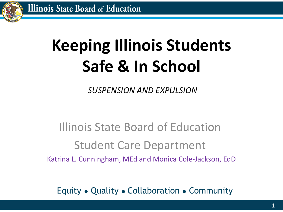

# **Keeping Illinois Students Safe & In School**

*SUSPENSION AND EXPULSION*

### Illinois State Board of Education Student Care Department Katrina L. Cunningham, MEd and Monica Cole-Jackson, EdD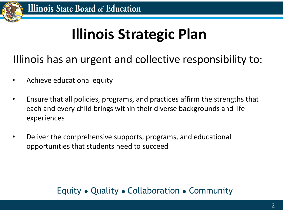

## **Illinois Strategic Plan**

Illinois has an urgent and collective responsibility to:

- Achieve educational equity
- Ensure that all policies, programs, and practices affirm the strengths that each and every child brings within their diverse backgrounds and life experiences
- Deliver the comprehensive supports, programs, and educational opportunities that students need to succeed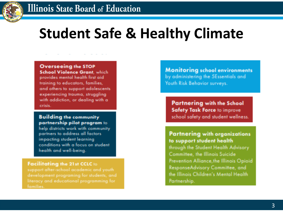### **Student Safe & Healthy Climate**

Overseeing the STOP **School Violence Grant.** which

provides mental health first aid training to educators, families, and others to support adolescents experiencing trauma, struggling with addiction, or dealing with a crisis..

**Building the community** partnership pilot program to

help districts work with community partners to address all factors impacting student learning conditions with a focus on student health and well-being.

Facilitating the 21st CCLC to

support after-school academic and youth literacy and educational programming for **Monitoring school environments** by administering the 5Essentials and Youth Risk Behavior surveys.

Partnering with the School **Safety Task Force to improve** school safety and student wellness.

**Partnering with organizations** to support student health

through the Student Health Advisory Committee, the Illinois Suicide Prevention Alliance, the Illinois Opioid ResponseAdvisory Committee, and the Illinois Children's Mental Health Partnership.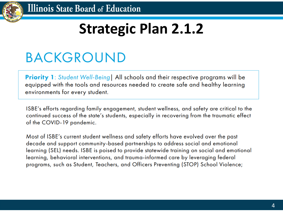

### **Strategic Plan 2.1.2**

### **BACKGROUND**

**Priority 1:** Student Well-Being | All schools and their respective programs will be equipped with the tools and resources needed to create safe and healthy learning environments for every student.

ISBE's efforts regarding family engagement, student wellness, and safety are critical to the continued success of the state's students, especially in recovering from the traumatic effect of the COVID-19 pandemic.

Most of ISBE's current student wellness and safety efforts have evolved over the past decade and support community-based partnerships to address social and emotional learning (SEL) needs. ISBE is poised to provide statewide training on social and emotional learning, behavioral interventions, and trauma-informed care by leveraging federal programs, such as Student, Teachers, and Officers Preventing (STOP) School Violence;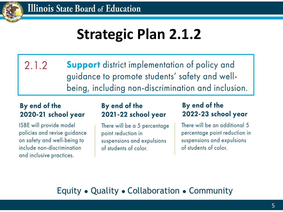

•

### **Strategic Plan 2.1.2**

 $2.1.2$ **Support** district implementation of policy and guidance to promote students' safety and wellbeing, including non-discrimination and inclusion.

#### By end of the 2020-21 school year

ISBE will provide model policies and revise guidance on safety and well-being to include non-discrimination and inclusive practices.

#### By end of the 2021-22 school year

There will be a 5 percentage point reduction in suspensions and expulsions of students of color.

#### By end of the 2022-23 school year

There will be an additional 5 percentage point reduction in suspensions and expulsions of students of color.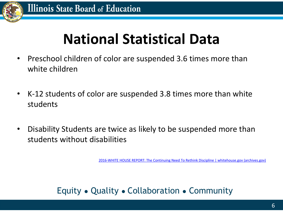

### **National Statistical Data**

- Preschool children of color are suspended 3.6 times more than white children
- K-12 students of color are suspended 3.8 times more than white students
- Disability Students are twice as likely to be suspended more than students without disabilities

[2016-WHITE HOUSE REPORT: The Continuing Need To Rethink Discipline | whitehouse.gov \(archives.gov\)](https://obamawhitehouse.archives.gov/the-press-office/2016/12/09/white-house-report-continuing-need-rethink-discipline)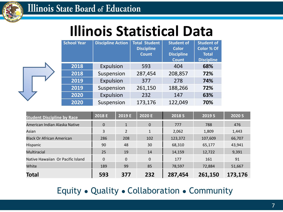

### **Illinois Statistical Data**

| <b>School Year</b> | <b>Discipline Action</b> | <b>Total Student</b><br><b>Discipline</b><br><b>Count</b> | <b>Student of</b><br><b>Color</b><br><b>Discipline</b><br><b>Count</b> | <b>Student of</b><br>Color % Of<br><b>Total</b><br><b>Discipline</b> |
|--------------------|--------------------------|-----------------------------------------------------------|------------------------------------------------------------------------|----------------------------------------------------------------------|
| 2018               | Expulsion                | 593                                                       | 404                                                                    | 68%                                                                  |
| 2018               | Suspension               | 287,454                                                   | 208,857                                                                | 72%                                                                  |
| 2019               | Expulsion                | 377                                                       | 278                                                                    | 74%                                                                  |
| 2019               | Suspension               | 261,150                                                   | 188,266                                                                | 72%                                                                  |
| 2020               | Expulsion                | 232                                                       | 147                                                                    | 63%                                                                  |
| 2020               | Suspension               | 173,176                                                   | 122,049                                                                | 70%                                                                  |

| <b>Student Discipline by Race</b> | 2018 E   | 2019 E         | 2020 E       | 2018 S  | 2019 S  | 2020 S  |
|-----------------------------------|----------|----------------|--------------|---------|---------|---------|
| American Indian Alaska Native     | $\Omega$ | $\mathbf{1}$   | $\mathbf{0}$ | 777     | 788     | 476     |
| Asian                             | 3        | $\overline{2}$ | 1            | 2,062   | 1,809   | 1,443   |
| <b>Black Or African American</b>  | 286      | 208            | 102          | 123,372 | 107,609 | 66,707  |
| <b>Hispanic</b>                   | 90       | 48             | 30           | 68,310  | 65,177  | 43,941  |
| Multiracial                       | 25       | 19             | 14           | 14,159  | 12,722  | 9,391   |
| Native Hawaiian Or Pacific Island | $\Omega$ | $\Omega$       | $\Omega$     | 177     | 161     | 91      |
| White                             | 189      | 99             | 85           | 78,597  | 72,884  | 51,667  |
| <b>Total</b>                      | 593      | 377            | 232          | 287,454 | 261,150 | 173,176 |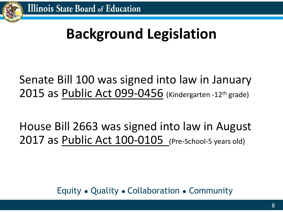

# **Background Legislation**

### Senate Bill 100 was signed into law in January 2015 as Public Act 099-0456 (Kindergarten -12th grade)

House Bill 2663 was signed into law in August 2017 as Public Act 100-0105 (Pre-School-5 years old)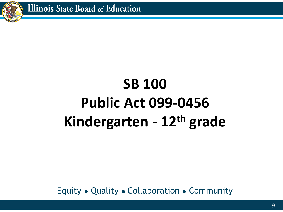

# **SB 100 Public Act 099-0456 Kindergarten - 12th grade**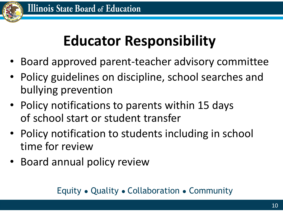

# **Educator Responsibility**

- Board approved parent-teacher advisory committee
- Policy guidelines on discipline, school searches and bullying prevention
- Policy notifications to parents within 15 days of school start or student transfer
- Policy notification to students including in school time for review
- Board annual policy review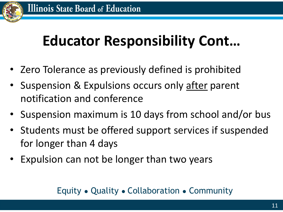

### **Educator Responsibility Cont…**

- Zero Tolerance as previously defined is prohibited
- Suspension & Expulsions occurs only after parent notification and conference
- Suspension maximum is 10 days from school and/or bus
- Students must be offered support services if suspended for longer than 4 days
- Expulsion can not be longer than two years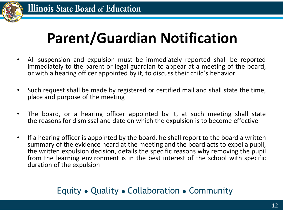

# **Parent/Guardian Notification**

- All suspension and expulsion must be immediately reported shall be reported immediately to the parent or legal guardian to appear at a meeting of the board, or with a hearing officer appointed by it, to discuss their child's behavior
- Such request shall be made by registered or certified mail and shall state the time, place and purpose of the meeting
- The board, or a hearing officer appointed by it, at such meeting shall state the reasons for dismissal and date on which the expulsion is to become effective
- If a hearing officer is appointed by the board, he shall report to the board a written summary of the evidence heard at the meeting and the board acts to expel a pupil, the written expulsion decision, details the specific reasons why removing the pupil from the learning environment is in the best interest of the school with specific duration of the expulsion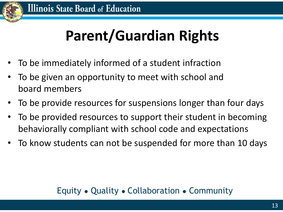

# **Parent/Guardian Rights**

- To be immediately informed of a student infraction
- To be given an opportunity to meet with school and board members
- To be provide resources for suspensions longer than four days
- To be provided resources to support their student in becoming behaviorally compliant with school code and expectations
- To know students can not be suspended for more than 10 days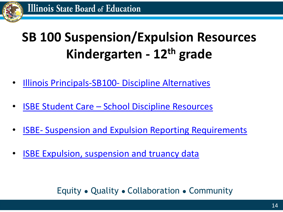

### **SB 100 Suspension/Expulsion Resources Kindergarten - 12th grade**

- [Illinois Principals-SB100-](http://connect.ilprincipals.org/blogs/alison-maley/2016/02/11/sb-100-and-alternatives-to-exclusionary-discipline) Discipline Alternatives
- ISBE Student Care [School Discipline Resources](https://www.isbe.net/discipline)
- ISBE- [Suspension and Expulsion Reporting Requirements](https://www.isbe.net/discipline)
- **[ISBE Expulsion, suspension and truancy data](https://www.isbe.net/Pages/Expulsions-Suspensions-and-Truants-by-District.aspx)**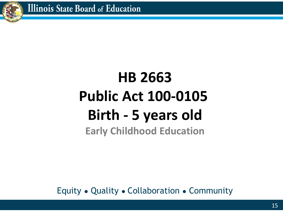

### **HB 2663 Public Act 100-0105 Birth - 5 years old Early Childhood Education**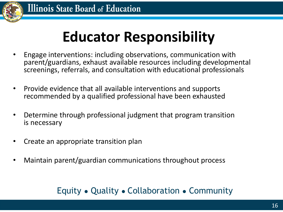

### **Educator Responsibility**

- Engage interventions: including observations, communication with parent/guardians, exhaust available resources including developmental screenings, referrals, and consultation with educational professionals
- Provide evidence that all available interventions and supports recommended by a qualified professional have been exhausted
- Determine through professional judgment that program transition is necessary
- Create an appropriate transition plan
- Maintain parent/guardian communications throughout process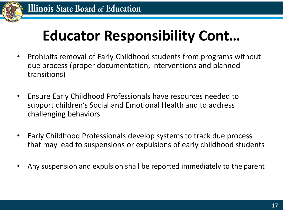

### **Educator Responsibility Cont…**

- Prohibits removal of Early Childhood students from programs without due process (proper documentation, interventions and planned transitions)
- Ensure Early Childhood Professionals have resources needed to support children's Social and Emotional Health and to address challenging behaviors
- Early Childhood Professionals develop systems to track due process that may lead to suspensions or expulsions of early childhood students
- Any suspension and expulsion shall be reported immediately to the parent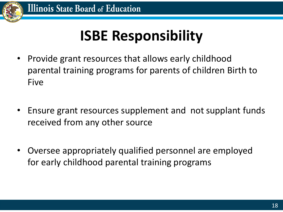

## **ISBE Responsibility**

- Provide grant resources that allows early childhood parental training programs for parents of children Birth to Five
- Ensure grant resources supplement and not supplant funds received from any other source
- Oversee appropriately qualified personnel are employed for early childhood parental training programs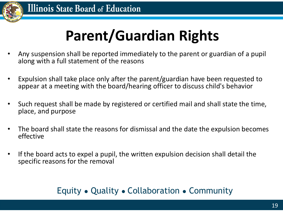

# **Parent/Guardian Rights**

- Any suspension shall be reported immediately to the parent or guardian of a pupil along with a full statement of the reasons
- Expulsion shall take place only after the parent/guardian have been requested to appear at a meeting with the board/hearing officer to discuss child's behavior
- Such request shall be made by registered or certified mail and shall state the time, place, and purpose
- The board shall state the reasons for dismissal and the date the expulsion becomes effective
- If the board acts to expel a pupil, the written expulsion decision shall detail the specific reasons for the removal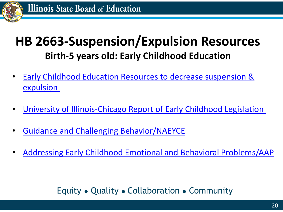

### **HB 2663-Suspension/Expulsion Resources Birth-5 years old: Early Childhood Education**

- [Early Childhood Education Resources to decrease suspension &](https://www2.illinois.gov/sites/OECD/Documents/Best%20Practice%20Resources%20for%20Suspension%20and%20Expulsion%20in%20Early%20Childhood%20Education.pdf) expulsion
- [University of Illinois-Chicago Report of Early Childhood Legislation](https://today.uic.edu/report-on-new-illinois-law-addressing-early-childhood-expulsions)
- [Guidance and Challenging Behavior/NAEYCE](https://www.naeyc.org/resources/topics/guidance-and-challenging-behaviors)
- [Addressing Early Childhood Emotional and Behavioral Problems/AAP](https://pediatrics.aappublications.org/content/138/6/e20163025)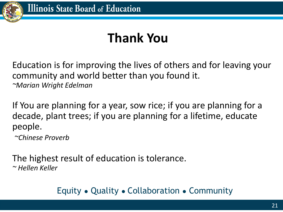

### **Thank You**

Education is for improving the lives of others and for leaving your community and world better than you found it. *~Marian Wright Edelman*

If You are planning for a year, sow rice; if you are planning for a decade, plant trees; if you are planning for a lifetime, educate people.

*~Chinese Proverb*

The highest result of education is tolerance. *~ Hellen Keller*